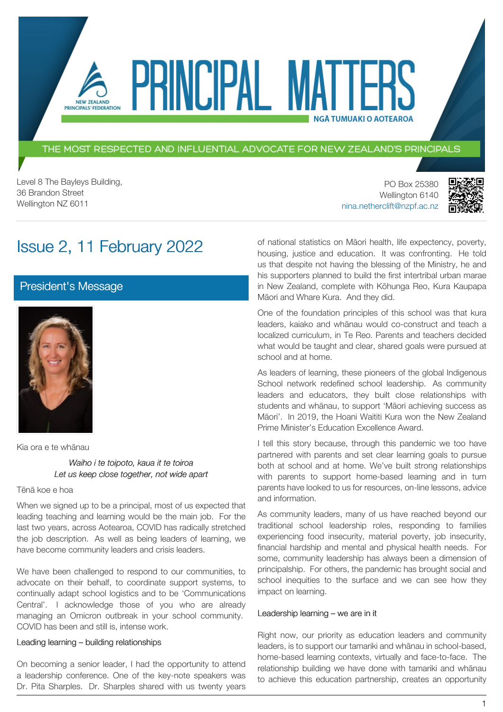THE MOST RESPECTED AND INFLUENTIAL ADVOCATE FOR NEW ZEALAND'S PRINCIPALS

PRINCIPAL MATT

Level 8 The Bayleys Building, 36 Brandon Street Wellington NZ 6011

NEW ZEALAND PRINCIPALS' FEDERATION

> PO Box 25380 Wellington 6140 [nina.netherclift@nzpf.ac.nz](mailto:mailto:nina.netherclift@nzpf.ac.nz)



# Issue 2, 11 February 2022

## [President's Message](https://nzpf.schoolzineplus.com/newsletter/article/483?skin=1)



Kia ora e te whānau

*Waiho i te toipoto, kaua it te toiroa Let us keep close together, not wide apart*

#### Tēnā koe e hoa

When we signed up to be a principal, most of us expected that leading teaching and learning would be the main job. For the last two years, across Aotearoa, COVID has radically stretched the job description. As well as being leaders of learning, we have become community leaders and crisis leaders.

We have been challenged to respond to our communities, to advocate on their behalf, to coordinate support systems, to continually adapt school logistics and to be 'Communications Central'. I acknowledge those of you who are already managing an Omicron outbreak in your school community. COVID has been and still is, intense work.

#### Leading learning – building relationships

On becoming a senior leader, I had the opportunity to attend a leadership conference. One of the key-note speakers was Dr. Pita Sharples. Dr. Sharples shared with us twenty years of national statistics on Māori health, life expectency, poverty, housing, justice and education. It was confronting. He told us that despite not having the blessing of the Ministry, he and his supporters planned to build the first intertribal urban marae in New Zealand, complete with Kōhunga Reo, Kura Kaupapa Māori and Whare Kura. And they did.

**NGÅ TUMUAKI O AOTEAROA** 

One of the foundation principles of this school was that kura leaders, kaiako and whānau would co-construct and teach a localized curriculum, in Te Reo. Parents and teachers decided what would be taught and clear, shared goals were pursued at school and at home.

As leaders of learning, these pioneers of the global Indigenous School network redefined school leadership. As community leaders and educators, they built close relationships with students and whānau, to support 'Māori achieving success as Māori'. In 2019, the Hoani Waititi Kura won the New Zealand Prime Minister's Education Excellence Award.

I tell this story because, through this pandemic we too have partnered with parents and set clear learning goals to pursue both at school and at home. We've built strong relationships with parents to support home-based learning and in turn parents have looked to us for resources, on-line lessons, advice and information.

As community leaders, many of us have reached beyond our traditional school leadership roles, responding to families experiencing food insecurity, material poverty, job insecurity, financial hardship and mental and physical health needs. For some, community leadership has always been a dimension of principalship. For others, the pandemic has brought social and school inequities to the surface and we can see how they impact on learning.

#### Leadership learning – we are in it

Right now, our priority as education leaders and community leaders, is to support our tamariki and whānau in school-based, home-based learning contexts, virtually and face-to-face. The relationship building we have done with tamariki and whānau to achieve this education partnership, creates an opportunity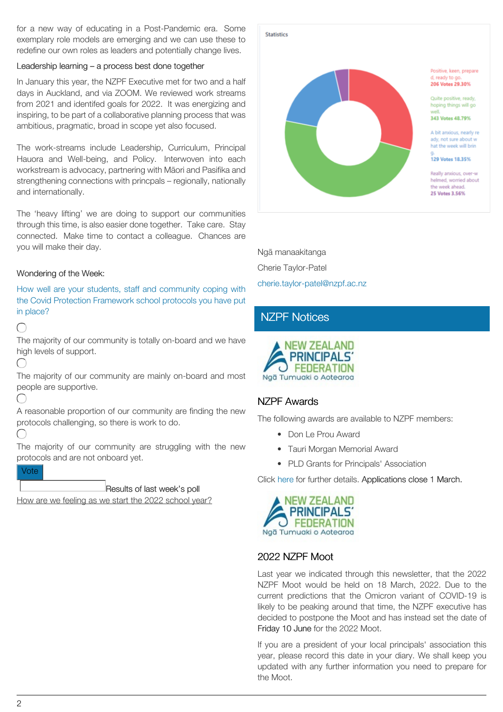for a new way of educating in a Post-Pandemic era. Some exemplary role models are emerging and we can use these to redefine our own roles as leaders and potentially change lives.

#### Leadership learning – a process best done together

In January this year, the NZPF Executive met for two and a half days in Auckland, and via ZOOM. We reviewed work streams from 2021 and identifed goals for 2022. It was energizing and inspiring, to be part of a collaborative planning process that was ambitious, pragmatic, broad in scope yet also focused.

The work-streams include Leadership, Curriculum, Principal Hauora and Well-being, and Policy. Interwoven into each workstream is advocacy, partnering with Māori and Pasifika and strengthening connections with princpals – regionally, nationally and internationally.

The 'heavy lifting' we are doing to support our communities through this time, is also easier done together. Take care. Stay connected. Make time to contact a colleague. Chances are you will make their day.

#### Wondering of the Week:

How well are your students, staff and community coping with the Covid Protection Framework school protocols you have put in place?

 $\subset$ 

The majority of our community is totally on-board and we have high levels of support.

∩

The majority of our community are mainly on-board and most people are supportive.

 $(\ )$ 

A reasonable proportion of our community are finding the new protocols challenging, so there is work to do.

 $\subset$ 

The majority of our community are struggling with the new protocols and are not onboard yet.

Vote

Results of last week's poll

How are we feeling as we start the 2022 school year?



Ngā manaakitanga Cherie Taylor-Patel [cherie.taylor-patel@nzpf.ac.nz](mailto:cherie.taylor-patel@nzpf.ac.nz)

# [NZPF Notices](https://nzpf.schoolzineplus.com/newsletter/article/484?skin=1)



## NZPF Awards

The following awards are available to NZPF members:

- Don Le Prou Award
- Tauri Morgan Memorial Award
- PLD Grants for Principals' Association

Click [here](https://nzpf.us13.list-manage.com/track/click?u=fa20eca115cfcba6a5e25b02f&id=f36d84b628&e=feb016e9b0) for further details. Applications close 1 March.



## 2022 NZPF Moot

Last year we indicated through this newsletter, that the 2022 NZPF Moot would be held on 18 March, 2022. Due to the current predictions that the Omicron variant of COVID-19 is likely to be peaking around that time, the NZPF executive has decided to postpone the Moot and has instead set the date of Friday 10 June for the 2022 Moot.

If you are a president of your local principals' association this year, please record this date in your diary. We shall keep you updated with any further information you need to prepare for the Moot.